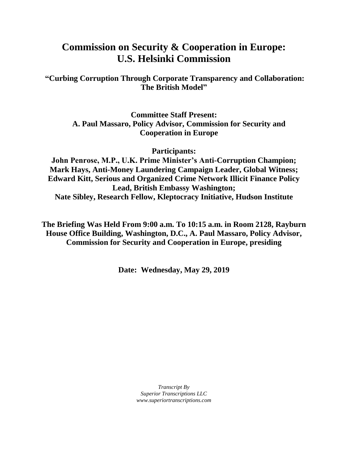## **Commission on Security & Cooperation in Europe: U.S. Helsinki Commission**

**"Curbing Corruption Through Corporate Transparency and Collaboration: The British Model"**

> **Committee Staff Present: A. Paul Massaro, Policy Advisor, Commission for Security and Cooperation in Europe**

> > **Participants:**

**John Penrose, M.P., U.K. Prime Minister's Anti-Corruption Champion; Mark Hays, Anti-Money Laundering Campaign Leader, Global Witness; Edward Kitt, Serious and Organized Crime Network Illicit Finance Policy Lead, British Embassy Washington; Nate Sibley, Research Fellow, Kleptocracy Initiative, Hudson Institute**

**The Briefing Was Held From 9:00 a.m. To 10:15 a.m. in Room 2128, Rayburn House Office Building, Washington, D.C., A. Paul Massaro, Policy Advisor, Commission for Security and Cooperation in Europe, presiding**

**Date: Wednesday, May 29, 2019**

*Transcript By Superior Transcriptions LLC www.superiortranscriptions.com*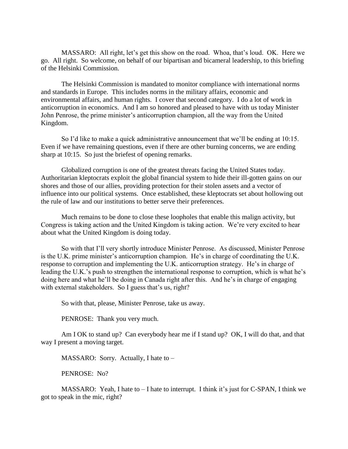MASSARO: All right, let's get this show on the road. Whoa, that's loud. OK. Here we go. All right. So welcome, on behalf of our bipartisan and bicameral leadership, to this briefing of the Helsinki Commission.

The Helsinki Commission is mandated to monitor compliance with international norms and standards in Europe. This includes norms in the military affairs, economic and environmental affairs, and human rights. I cover that second category. I do a lot of work in anticorruption in economics. And I am so honored and pleased to have with us today Minister John Penrose, the prime minister's anticorruption champion, all the way from the United Kingdom.

So I'd like to make a quick administrative announcement that we'll be ending at 10:15. Even if we have remaining questions, even if there are other burning concerns, we are ending sharp at 10:15. So just the briefest of opening remarks.

Globalized corruption is one of the greatest threats facing the United States today. Authoritarian kleptocrats exploit the global financial system to hide their ill-gotten gains on our shores and those of our allies, providing protection for their stolen assets and a vector of influence into our political systems. Once established, these kleptocrats set about hollowing out the rule of law and our institutions to better serve their preferences.

Much remains to be done to close these loopholes that enable this malign activity, but Congress is taking action and the United Kingdom is taking action. We're very excited to hear about what the United Kingdom is doing today.

So with that I'll very shortly introduce Minister Penrose. As discussed, Minister Penrose is the U.K. prime minister's anticorruption champion. He's in charge of coordinating the U.K. response to corruption and implementing the U.K. anticorruption strategy. He's in charge of leading the U.K.'s push to strengthen the international response to corruption, which is what he's doing here and what he'll be doing in Canada right after this. And he's in charge of engaging with external stakeholders. So I guess that's us, right?

So with that, please, Minister Penrose, take us away.

PENROSE: Thank you very much.

Am I OK to stand up? Can everybody hear me if I stand up? OK, I will do that, and that way I present a moving target.

MASSARO: Sorry. Actually, I hate to –

PENROSE: No?

MASSARO: Yeah, I hate to – I hate to interrupt. I think it's just for C-SPAN, I think we got to speak in the mic, right?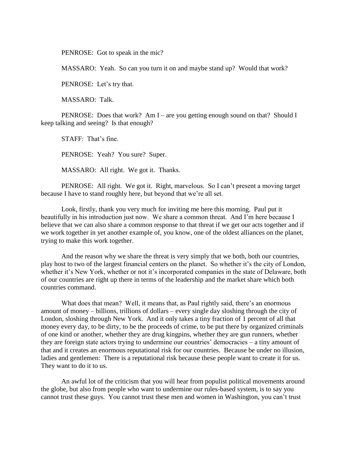PENROSE: Got to speak in the mic?

MASSARO: Yeah. So can you turn it on and maybe stand up? Would that work?

PENROSE: Let's try that.

MASSARO: Talk.

PENROSE: Does that work? Am I – are you getting enough sound on that? Should I keep talking and seeing? Is that enough?

STAFF: That's fine.

PENROSE: Yeah? You sure? Super.

MASSARO: All right. We got it. Thanks.

PENROSE: All right. We got it. Right, marvelous. So I can't present a moving target because I have to stand roughly here, but beyond that we're all set.

Look, firstly, thank you very much for inviting me here this morning. Paul put it beautifully in his introduction just now. We share a common threat. And I'm here because I believe that we can also share a common response to that threat if we get our acts together and if we work together in yet another example of, you know, one of the oldest alliances on the planet, trying to make this work together.

And the reason why we share the threat is very simply that we both, both our countries, play host to two of the largest financial centers on the planet. So whether it's the city of London, whether it's New York, whether or not it's incorporated companies in the state of Delaware, both of our countries are right up there in terms of the leadership and the market share which both countries command.

What does that mean? Well, it means that, as Paul rightly said, there's an enormous amount of money – billions, trillions of dollars – every single day sloshing through the city of London, sloshing through New York. And it only takes a tiny fraction of 1 percent of all that money every day, to be dirty, to be the proceeds of crime, to be put there by organized criminals of one kind or another, whether they are drug kingpins, whether they are gun runners, whether they are foreign state actors trying to undermine our countries' democracies – a tiny amount of that and it creates an enormous reputational risk for our countries. Because be under no illusion, ladies and gentlemen: There is a reputational risk because these people want to create it for us. They want to do it to us.

An awful lot of the criticism that you will hear from populist political movements around the globe, but also from people who want to undermine our rules-based system, is to say you cannot trust these guys. You cannot trust these men and women in Washington, you can't trust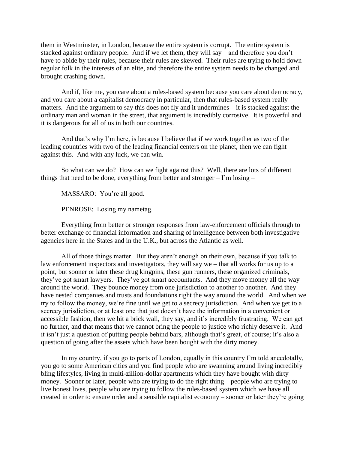them in Westminster, in London, because the entire system is corrupt. The entire system is stacked against ordinary people. And if we let them, they will say – and therefore you don't have to abide by their rules, because their rules are skewed. Their rules are trying to hold down regular folk in the interests of an elite, and therefore the entire system needs to be changed and brought crashing down.

And if, like me, you care about a rules-based system because you care about democracy, and you care about a capitalist democracy in particular, then that rules-based system really matters. And the argument to say this does not fly and it undermines – it is stacked against the ordinary man and woman in the street, that argument is incredibly corrosive. It is powerful and it is dangerous for all of us in both our countries.

And that's why I'm here, is because I believe that if we work together as two of the leading countries with two of the leading financial centers on the planet, then we can fight against this. And with any luck, we can win.

So what can we do? How can we fight against this? Well, there are lots of different things that need to be done, everything from better and stronger – I'm losing –

MASSARO: You're all good.

PENROSE: Losing my nametag.

Everything from better or stronger responses from law-enforcement officials through to better exchange of financial information and sharing of intelligence between both investigative agencies here in the States and in the U.K., but across the Atlantic as well.

All of those things matter. But they aren't enough on their own, because if you talk to law enforcement inspectors and investigators, they will say we – that all works for us up to a point, but sooner or later these drug kingpins, these gun runners, these organized criminals, they've got smart lawyers. They've got smart accountants. And they move money all the way around the world. They bounce money from one jurisdiction to another to another. And they have nested companies and trusts and foundations right the way around the world. And when we try to follow the money, we're fine until we get to a secrecy jurisdiction. And when we get to a secrecy jurisdiction, or at least one that just doesn't have the information in a convenient or accessible fashion, then we hit a brick wall, they say, and it's incredibly frustrating. We can get no further, and that means that we cannot bring the people to justice who richly deserve it. And it isn't just a question of putting people behind bars, although that's great, of course; it's also a question of going after the assets which have been bought with the dirty money.

In my country, if you go to parts of London, equally in this country I'm told anecdotally, you go to some American cities and you find people who are swanning around living incredibly bling lifestyles, living in multi-zillion-dollar apartments which they have bought with dirty money. Sooner or later, people who are trying to do the right thing – people who are trying to live honest lives, people who are trying to follow the rules-based system which we have all created in order to ensure order and a sensible capitalist economy – sooner or later they're going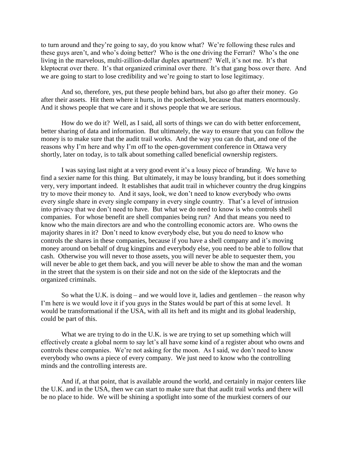to turn around and they're going to say, do you know what? We're following these rules and these guys aren't, and who's doing better? Who is the one driving the Ferrari? Who's the one living in the marvelous, multi-zillion-dollar duplex apartment? Well, it's not me. It's that kleptocrat over there. It's that organized criminal over there. It's that gang boss over there. And we are going to start to lose credibility and we're going to start to lose legitimacy.

And so, therefore, yes, put these people behind bars, but also go after their money. Go after their assets. Hit them where it hurts, in the pocketbook, because that matters enormously. And it shows people that we care and it shows people that we are serious.

How do we do it? Well, as I said, all sorts of things we can do with better enforcement, better sharing of data and information. But ultimately, the way to ensure that you can follow the money is to make sure that the audit trail works. And the way you can do that, and one of the reasons why I'm here and why I'm off to the open-government conference in Ottawa very shortly, later on today, is to talk about something called beneficial ownership registers.

I was saying last night at a very good event it's a lousy piece of branding. We have to find a sexier name for this thing. But ultimately, it may be lousy branding, but it does something very, very important indeed. It establishes that audit trail in whichever country the drug kingpins try to move their money to. And it says, look, we don't need to know everybody who owns every single share in every single company in every single country. That's a level of intrusion into privacy that we don't need to have. But what we do need to know is who controls shell companies. For whose benefit are shell companies being run? And that means you need to know who the main directors are and who the controlling economic actors are. Who owns the majority shares in it? Don't need to know everybody else, but you do need to know who controls the shares in these companies, because if you have a shell company and it's moving money around on behalf of drug kingpins and everybody else, you need to be able to follow that cash. Otherwise you will never to those assets, you will never be able to sequester them, you will never be able to get them back, and you will never be able to show the man and the woman in the street that the system is on their side and not on the side of the kleptocrats and the organized criminals.

So what the U.K. is doing – and we would love it, ladies and gentlemen – the reason why I'm here is we would love it if you guys in the States would be part of this at some level. It would be transformational if the USA, with all its heft and its might and its global leadership, could be part of this.

What we are trying to do in the U.K. is we are trying to set up something which will effectively create a global norm to say let's all have some kind of a register about who owns and controls these companies. We're not asking for the moon. As I said, we don't need to know everybody who owns a piece of every company. We just need to know who the controlling minds and the controlling interests are.

And if, at that point, that is available around the world, and certainly in major centers like the U.K. and in the USA, then we can start to make sure that that audit trail works and there will be no place to hide. We will be shining a spotlight into some of the murkiest corners of our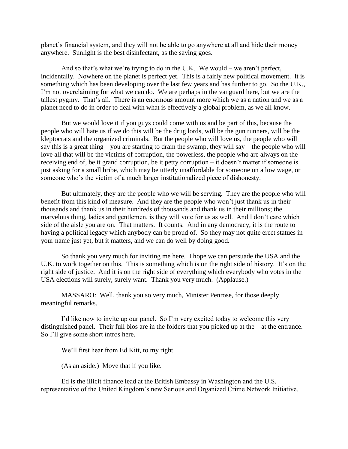planet's financial system, and they will not be able to go anywhere at all and hide their money anywhere. Sunlight is the best disinfectant, as the saying goes.

And so that's what we're trying to do in the U.K. We would – we aren't perfect, incidentally. Nowhere on the planet is perfect yet. This is a fairly new political movement. It is something which has been developing over the last few years and has further to go. So the U.K., I'm not overclaiming for what we can do. We are perhaps in the vanguard here, but we are the tallest pygmy. That's all. There is an enormous amount more which we as a nation and we as a planet need to do in order to deal with what is effectively a global problem, as we all know.

But we would love it if you guys could come with us and be part of this, because the people who will hate us if we do this will be the drug lords, will be the gun runners, will be the kleptocrats and the organized criminals. But the people who will love us, the people who will say this is a great thing – you are starting to drain the swamp, they will say – the people who will love all that will be the victims of corruption, the powerless, the people who are always on the receiving end of, be it grand corruption, be it petty corruption – it doesn't matter if someone is just asking for a small bribe, which may be utterly unaffordable for someone on a low wage, or someone who's the victim of a much larger institutionalized piece of dishonesty.

But ultimately, they are the people who we will be serving. They are the people who will benefit from this kind of measure. And they are the people who won't just thank us in their thousands and thank us in their hundreds of thousands and thank us in their millions; the marvelous thing, ladies and gentlemen, is they will vote for us as well. And I don't care which side of the aisle you are on. That matters. It counts. And in any democracy, it is the route to having a political legacy which anybody can be proud of. So they may not quite erect statues in your name just yet, but it matters, and we can do well by doing good.

So thank you very much for inviting me here. I hope we can persuade the USA and the U.K. to work together on this. This is something which is on the right side of history. It's on the right side of justice. And it is on the right side of everything which everybody who votes in the USA elections will surely, surely want. Thank you very much. (Applause.)

MASSARO: Well, thank you so very much, Minister Penrose, for those deeply meaningful remarks.

I'd like now to invite up our panel. So I'm very excited today to welcome this very distinguished panel. Their full bios are in the folders that you picked up at the – at the entrance. So I'll give some short intros here.

We'll first hear from Ed Kitt, to my right.

(As an aside.) Move that if you like.

Ed is the illicit finance lead at the British Embassy in Washington and the U.S. representative of the United Kingdom's new Serious and Organized Crime Network Initiative.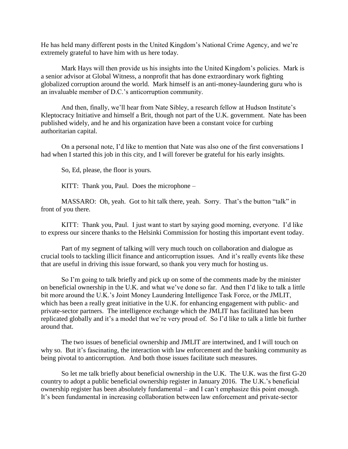He has held many different posts in the United Kingdom's National Crime Agency, and we're extremely grateful to have him with us here today.

Mark Hays will then provide us his insights into the United Kingdom's policies. Mark is a senior advisor at Global Witness, a nonprofit that has done extraordinary work fighting globalized corruption around the world. Mark himself is an anti-money-laundering guru who is an invaluable member of D.C.'s anticorruption community.

And then, finally, we'll hear from Nate Sibley, a research fellow at Hudson Institute's Kleptocracy Initiative and himself a Brit, though not part of the U.K. government. Nate has been published widely, and he and his organization have been a constant voice for curbing authoritarian capital.

On a personal note, I'd like to mention that Nate was also one of the first conversations I had when I started this job in this city, and I will forever be grateful for his early insights.

So, Ed, please, the floor is yours.

KITT: Thank you, Paul. Does the microphone –

MASSARO: Oh, yeah. Got to hit talk there, yeah. Sorry. That's the button "talk" in front of you there.

KITT: Thank you, Paul. I just want to start by saying good morning, everyone. I'd like to express our sincere thanks to the Helsinki Commission for hosting this important event today.

Part of my segment of talking will very much touch on collaboration and dialogue as crucial tools to tackling illicit finance and anticorruption issues. And it's really events like these that are useful in driving this issue forward, so thank you very much for hosting us.

So I'm going to talk briefly and pick up on some of the comments made by the minister on beneficial ownership in the U.K. and what we've done so far. And then I'd like to talk a little bit more around the U.K.'s Joint Money Laundering Intelligence Task Force, or the JMLIT, which has been a really great initiative in the U.K. for enhancing engagement with public- and private-sector partners. The intelligence exchange which the JMLIT has facilitated has been replicated globally and it's a model that we're very proud of. So I'd like to talk a little bit further around that.

The two issues of beneficial ownership and JMLIT are intertwined, and I will touch on why so. But it's fascinating, the interaction with law enforcement and the banking community as being pivotal to anticorruption. And both those issues facilitate such measures.

So let me talk briefly about beneficial ownership in the U.K. The U.K. was the first G-20 country to adopt a public beneficial ownership register in January 2016. The U.K.'s beneficial ownership register has been absolutely fundamental – and I can't emphasize this point enough. It's been fundamental in increasing collaboration between law enforcement and private-sector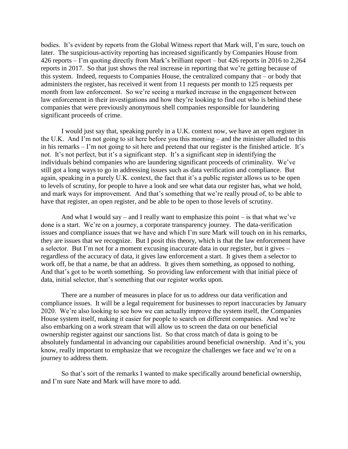bodies. It's evident by reports from the Global Witness report that Mark will, I'm sure, touch on later. The suspicious-activity reporting has increased significantly by Companies House from 426 reports – I'm quoting directly from Mark's brilliant report – but 426 reports in 2016 to 2,264 reports in 2017. So that just shows the real increase in reporting that we're getting because of this system. Indeed, requests to Companies House, the centralized company that – or body that administers the register, has received it went from 11 requests per month to 125 requests per month from law enforcement. So we're seeing a marked increase in the engagement between law enforcement in their investigations and how they're looking to find out who is behind these companies that were previously anonymous shell companies responsible for laundering significant proceeds of crime.

I would just say that, speaking purely in a U.K. context now, we have an open register in the U.K. And I'm not going to sit here before you this morning – and the minister alluded to this in his remarks – I'm not going to sit here and pretend that our register is the finished article. It's not. It's not perfect, but it's a significant step. It's a significant step in identifying the individuals behind companies who are laundering significant proceeds of criminality. We've still got a long ways to go in addressing issues such as data verification and compliance. But again, speaking in a purely U.K. context, the fact that it's a public register allows us to be open to levels of scrutiny, for people to have a look and see what data our register has, what we hold, and mark ways for improvement. And that's something that we're really proud of, to be able to have that register, an open register, and be able to be open to those levels of scrutiny.

And what I would say – and I really want to emphasize this point – is that what we've done is a start. We're on a journey, a corporate transparency journey. The data-verification issues and compliance issues that we have and which I'm sure Mark will touch on in his remarks, they are issues that we recognize. But I posit this theory, which is that the law enforcement have a selector. But I'm not for a moment excusing inaccurate data in our register, but it gives – regardless of the accuracy of data, it gives law enforcement a start. It gives them a selector to work off, be that a name, be that an address. It gives them something, as opposed to nothing. And that's got to be worth something. So providing law enforcement with that initial piece of data, initial selector, that's something that our register works upon.

There are a number of measures in place for us to address our data verification and compliance issues. It will be a legal requirement for businesses to report inaccuracies by January 2020. We're also looking to see how we can actually improve the system itself, the Companies House system itself, making it easier for people to search on different companies. And we're also embarking on a work stream that will allow us to screen the data on our beneficial ownership register against our sanctions list. So that cross match of data is going to be absolutely fundamental in advancing our capabilities around beneficial ownership. And it's, you know, really important to emphasize that we recognize the challenges we face and we're on a journey to address them.

So that's sort of the remarks I wanted to make specifically around beneficial ownership, and I'm sure Nate and Mark will have more to add.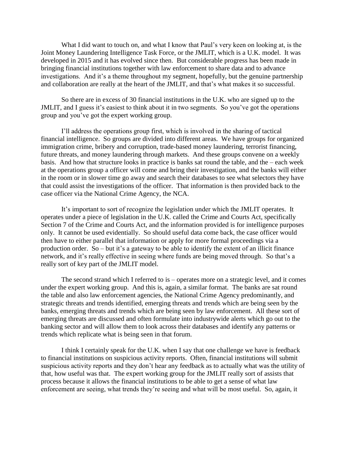What I did want to touch on, and what I know that Paul's very keen on looking at, is the Joint Money Laundering Intelligence Task Force, or the JMLIT, which is a U.K. model. It was developed in 2015 and it has evolved since then. But considerable progress has been made in bringing financial institutions together with law enforcement to share data and to advance investigations. And it's a theme throughout my segment, hopefully, but the genuine partnership and collaboration are really at the heart of the JMLIT, and that's what makes it so successful.

So there are in excess of 30 financial institutions in the U.K. who are signed up to the JMLIT, and I guess it's easiest to think about it in two segments. So you've got the operations group and you've got the expert working group.

I'll address the operations group first, which is involved in the sharing of tactical financial intelligence. So groups are divided into different areas. We have groups for organized immigration crime, bribery and corruption, trade-based money laundering, terrorist financing, future threats, and money laundering through markets. And these groups convene on a weekly basis. And how that structure looks in practice is banks sat round the table, and the – each week at the operations group a officer will come and bring their investigation, and the banks will either in the room or in slower time go away and search their databases to see what selectors they have that could assist the investigations of the officer. That information is then provided back to the case officer via the National Crime Agency, the NCA.

It's important to sort of recognize the legislation under which the JMLIT operates. It operates under a piece of legislation in the U.K. called the Crime and Courts Act, specifically Section 7 of the Crime and Courts Act, and the information provided is for intelligence purposes only. It cannot be used evidentially. So should useful data come back, the case officer would then have to either parallel that information or apply for more formal proceedings via a production order. So – but it's a gateway to be able to identify the extent of an illicit finance network, and it's really effective in seeing where funds are being moved through. So that's a really sort of key part of the JMLIT model.

The second strand which I referred to is – operates more on a strategic level, and it comes under the expert working group. And this is, again, a similar format. The banks are sat round the table and also law enforcement agencies, the National Crime Agency predominantly, and strategic threats and trends identified, emerging threats and trends which are being seen by the banks, emerging threats and trends which are being seen by law enforcement. All these sort of emerging threats are discussed and often formulate into industrywide alerts which go out to the banking sector and will allow them to look across their databases and identify any patterns or trends which replicate what is being seen in that forum.

I think I certainly speak for the U.K. when I say that one challenge we have is feedback to financial institutions on suspicious activity reports. Often, financial institutions will submit suspicious activity reports and they don't hear any feedback as to actually what was the utility of that, how useful was that. The expert working group for the JMLIT really sort of assists that process because it allows the financial institutions to be able to get a sense of what law enforcement are seeing, what trends they're seeing and what will be most useful. So, again, it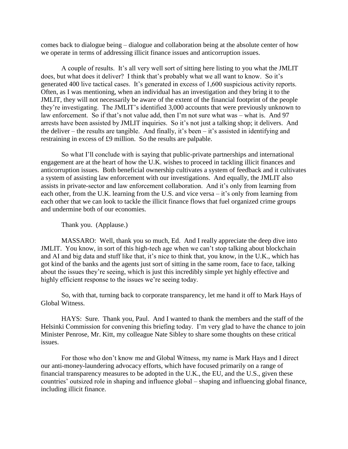comes back to dialogue being – dialogue and collaboration being at the absolute center of how we operate in terms of addressing illicit finance issues and anticorruption issues.

A couple of results. It's all very well sort of sitting here listing to you what the JMLIT does, but what does it deliver? I think that's probably what we all want to know. So it's generated 400 live tactical cases. It's generated in excess of 1,600 suspicious activity reports. Often, as I was mentioning, when an individual has an investigation and they bring it to the JMLIT, they will not necessarily be aware of the extent of the financial footprint of the people they're investigating. The JMLIT's identified 3,000 accounts that were previously unknown to law enforcement. So if that's not value add, then I'm not sure what was – what is. And 97 arrests have been assisted by JMLIT inquiries. So it's not just a talking shop; it delivers. And the deliver – the results are tangible. And finally, it's been – it's assisted in identifying and restraining in excess of £9 million. So the results are palpable.

So what I'll conclude with is saying that public-private partnerships and international engagement are at the heart of how the U.K. wishes to proceed in tackling illicit finances and anticorruption issues. Both beneficial ownership cultivates a system of feedback and it cultivates a system of assisting law enforcement with our investigations. And equally, the JMLIT also assists in private-sector and law enforcement collaboration. And it's only from learning from each other, from the U.K. learning from the U.S. and vice versa – it's only from learning from each other that we can look to tackle the illicit finance flows that fuel organized crime groups and undermine both of our economies.

Thank you. (Applause.)

MASSARO: Well, thank you so much, Ed. And I really appreciate the deep dive into JMLIT. You know, in sort of this high-tech age when we can't stop talking about blockchain and AI and big data and stuff like that, it's nice to think that, you know, in the U.K., which has got kind of the banks and the agents just sort of sitting in the same room, face to face, talking about the issues they're seeing, which is just this incredibly simple yet highly effective and highly efficient response to the issues we're seeing today.

So, with that, turning back to corporate transparency, let me hand it off to Mark Hays of Global Witness.

HAYS: Sure. Thank you, Paul. And I wanted to thank the members and the staff of the Helsinki Commission for convening this briefing today. I'm very glad to have the chance to join Minister Penrose, Mr. Kitt, my colleague Nate Sibley to share some thoughts on these critical issues.

For those who don't know me and Global Witness, my name is Mark Hays and I direct our anti-money-laundering advocacy efforts, which have focused primarily on a range of financial transparency measures to be adopted in the U.K., the EU, and the U.S., given these countries' outsized role in shaping and influence global – shaping and influencing global finance, including illicit finance.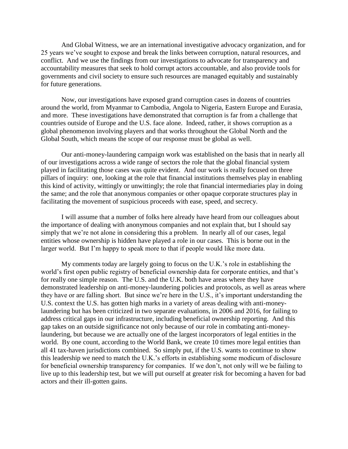And Global Witness, we are an international investigative advocacy organization, and for 25 years we've sought to expose and break the links between corruption, natural resources, and conflict. And we use the findings from our investigations to advocate for transparency and accountability measures that seek to hold corrupt actors accountable, and also provide tools for governments and civil society to ensure such resources are managed equitably and sustainably for future generations.

Now, our investigations have exposed grand corruption cases in dozens of countries around the world, from Myanmar to Cambodia, Angola to Nigeria, Eastern Europe and Eurasia, and more. These investigations have demonstrated that corruption is far from a challenge that countries outside of Europe and the U.S. face alone. Indeed, rather, it shows corruption as a global phenomenon involving players and that works throughout the Global North and the Global South, which means the scope of our response must be global as well.

Our anti-money-laundering campaign work was established on the basis that in nearly all of our investigations across a wide range of sectors the role that the global financial system played in facilitating those cases was quite evident. And our work is really focused on three pillars of inquiry: one, looking at the role that financial institutions themselves play in enabling this kind of activity, wittingly or unwittingly; the role that financial intermediaries play in doing the same; and the role that anonymous companies or other opaque corporate structures play in facilitating the movement of suspicious proceeds with ease, speed, and secrecy.

I will assume that a number of folks here already have heard from our colleagues about the importance of dealing with anonymous companies and not explain that, but I should say simply that we're not alone in considering this a problem. In nearly all of our cases, legal entities whose ownership is hidden have played a role in our cases. This is borne out in the larger world. But I'm happy to speak more to that if people would like more data.

My comments today are largely going to focus on the U.K.'s role in establishing the world's first open public registry of beneficial ownership data for corporate entities, and that's for really one simple reason. The U.S. and the U.K. both have areas where they have demonstrated leadership on anti-money-laundering policies and protocols, as well as areas where they have or are falling short. But since we're here in the U.S., it's important understanding the U.S. context the U.S. has gotten high marks in a variety of areas dealing with anti-moneylaundering but has been criticized in two separate evaluations, in 2006 and 2016, for failing to address critical gaps in our infrastructure, including beneficial ownership reporting. And this gap takes on an outside significance not only because of our role in combating anti-moneylaundering, but because we are actually one of the largest incorporators of legal entities in the world. By one count, according to the World Bank, we create 10 times more legal entities than all 41 tax-haven jurisdictions combined. So simply put, if the U.S. wants to continue to show this leadership we need to match the U.K.'s efforts in establishing some modicum of disclosure for beneficial ownership transparency for companies. If we don't, not only will we be failing to live up to this leadership test, but we will put ourself at greater risk for becoming a haven for bad actors and their ill-gotten gains.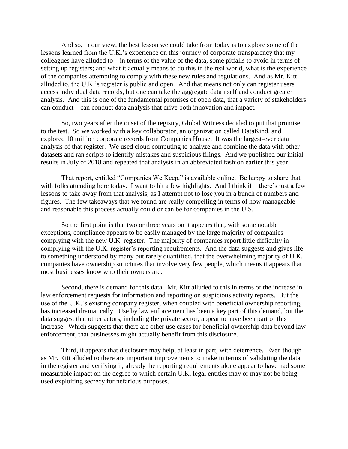And so, in our view, the best lesson we could take from today is to explore some of the lessons learned from the U.K.'s experience on this journey of corporate transparency that my colleagues have alluded to – in terms of the value of the data, some pitfalls to avoid in terms of setting up registers; and what it actually means to do this in the real world, what is the experience of the companies attempting to comply with these new rules and regulations. And as Mr. Kitt alluded to, the U.K.'s register is public and open. And that means not only can register users access individual data records, but one can take the aggregate data itself and conduct greater analysis. And this is one of the fundamental promises of open data, that a variety of stakeholders can conduct – can conduct data analysis that drive both innovation and impact.

So, two years after the onset of the registry, Global Witness decided to put that promise to the test. So we worked with a key collaborator, an organization called DataKind, and explored 10 million corporate records from Companies House. It was the largest-ever data analysis of that register. We used cloud computing to analyze and combine the data with other datasets and ran scripts to identify mistakes and suspicious filings. And we published our initial results in July of 2018 and repeated that analysis in an abbreviated fashion earlier this year.

That report, entitled "Companies We Keep," is available online. Be happy to share that with folks attending here today. I want to hit a few highlights. And I think if – there's just a few lessons to take away from that analysis, as I attempt not to lose you in a bunch of numbers and figures. The few takeaways that we found are really compelling in terms of how manageable and reasonable this process actually could or can be for companies in the U.S.

So the first point is that two or three years on it appears that, with some notable exceptions, compliance appears to be easily managed by the large majority of companies complying with the new U.K. register. The majority of companies report little difficulty in complying with the U.K. register's reporting requirements. And the data suggests and gives life to something understood by many but rarely quantified, that the overwhelming majority of U.K. companies have ownership structures that involve very few people, which means it appears that most businesses know who their owners are.

Second, there is demand for this data. Mr. Kitt alluded to this in terms of the increase in law enforcement requests for information and reporting on suspicious activity reports. But the use of the U.K.'s existing company register, when coupled with beneficial ownership reporting, has increased dramatically. Use by law enforcement has been a key part of this demand, but the data suggest that other actors, including the private sector, appear to have been part of this increase. Which suggests that there are other use cases for beneficial ownership data beyond law enforcement, that businesses might actually benefit from this disclosure.

Third, it appears that disclosure may help, at least in part, with deterrence. Even though as Mr. Kitt alluded to there are important improvements to make in terms of validating the data in the register and verifying it, already the reporting requirements alone appear to have had some measurable impact on the degree to which certain U.K. legal entities may or may not be being used exploiting secrecy for nefarious purposes.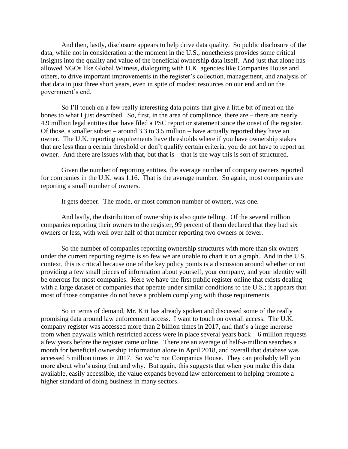And then, lastly, disclosure appears to help drive data quality. So public disclosure of the data, while not in consideration at the moment in the U.S., nonetheless provides some critical insights into the quality and value of the beneficial ownership data itself. And just that alone has allowed NGOs like Global Witness, dialoguing with U.K. agencies like Companies House and others, to drive important improvements in the register's collection, management, and analysis of that data in just three short years, even in spite of modest resources on our end and on the government's end.

So I'll touch on a few really interesting data points that give a little bit of meat on the bones to what I just described. So, first, in the area of compliance, there are – there are nearly 4.9 million legal entities that have filed a PSC report or statement since the onset of the register. Of those, a smaller subset – around 3.3 to 3.5 million – have actually reported they have an owner. The U.K. reporting requirements have thresholds where if you have ownership stakes that are less than a certain threshold or don't qualify certain criteria, you do not have to report an owner. And there are issues with that, but that is – that is the way this is sort of structured.

Given the number of reporting entities, the average number of company owners reported for companies in the U.K. was 1.16. That is the average number. So again, most companies are reporting a small number of owners.

It gets deeper. The mode, or most common number of owners, was one.

And lastly, the distribution of ownership is also quite telling. Of the several million companies reporting their owners to the register, 99 percent of them declared that they had six owners or less, with well over half of that number reporting two owners or fewer.

So the number of companies reporting ownership structures with more than six owners under the current reporting regime is so few we are unable to chart it on a graph. And in the U.S. context, this is critical because one of the key policy points is a discussion around whether or not providing a few small pieces of information about yourself, your company, and your identity will be onerous for most companies. Here we have the first public register online that exists dealing with a large dataset of companies that operate under similar conditions to the U.S.; it appears that most of those companies do not have a problem complying with those requirements.

So in terms of demand, Mr. Kitt has already spoken and discussed some of the really promising data around law enforcement access. I want to touch on overall access. The U.K. company register was accessed more than 2 billion times in 2017, and that's a huge increase from when paywalls which restricted access were in place several years back – 6 million requests a few years before the register came online. There are an average of half-a-million searches a month for beneficial ownership information alone in April 2018, and overall that database was accessed 5 million times in 2017. So we're not Companies House. They can probably tell you more about who's using that and why. But again, this suggests that when you make this data available, easily accessible, the value expands beyond law enforcement to helping promote a higher standard of doing business in many sectors.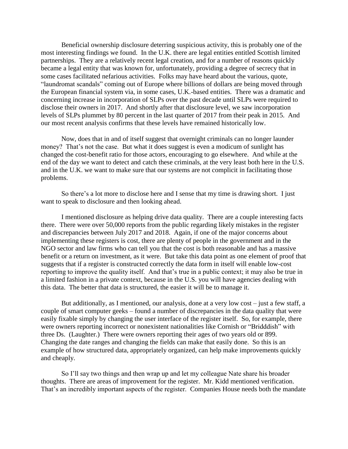Beneficial ownership disclosure deterring suspicious activity, this is probably one of the most interesting findings we found. In the U.K. there are legal entities entitled Scottish limited partnerships. They are a relatively recent legal creation, and for a number of reasons quickly became a legal entity that was known for, unfortunately, providing a degree of secrecy that in some cases facilitated nefarious activities. Folks may have heard about the various, quote, "laundromat scandals" coming out of Europe where billions of dollars are being moved through the European financial system via, in some cases, U.K.-based entities. There was a dramatic and concerning increase in incorporation of SLPs over the past decade until SLPs were required to disclose their owners in 2017. And shortly after that disclosure level, we saw incorporation levels of SLPs plummet by 80 percent in the last quarter of 2017 from their peak in 2015. And our most recent analysis confirms that these levels have remained historically low.

Now, does that in and of itself suggest that overnight criminals can no longer launder money? That's not the case. But what it does suggest is even a modicum of sunlight has changed the cost-benefit ratio for those actors, encouraging to go elsewhere. And while at the end of the day we want to detect and catch these criminals, at the very least both here in the U.S. and in the U.K. we want to make sure that our systems are not complicit in facilitating those problems.

So there's a lot more to disclose here and I sense that my time is drawing short. I just want to speak to disclosure and then looking ahead.

I mentioned disclosure as helping drive data quality. There are a couple interesting facts there. There were over 50,000 reports from the public regarding likely mistakes in the register and discrepancies between July 2017 and 2018. Again, if one of the major concerns about implementing these registers is cost, there are plenty of people in the government and in the NGO sector and law firms who can tell you that the cost is both reasonable and has a massive benefit or a return on investment, as it were. But take this data point as one element of proof that suggests that if a register is constructed correctly the data form in itself will enable low-cost reporting to improve the quality itself. And that's true in a public context; it may also be true in a limited fashion in a private context, because in the U.S. you will have agencies dealing with this data. The better that data is structured, the easier it will be to manage it.

But additionally, as I mentioned, our analysis, done at a very low cost – just a few staff, a couple of smart computer geeks – found a number of discrepancies in the data quality that were easily fixable simply by changing the user interface of the register itself. So, for example, there were owners reporting incorrect or nonexistent nationalities like Cornish or "Bridddish" with three Ds. (Laughter.) There were owners reporting their ages of two years old or 899. Changing the date ranges and changing the fields can make that easily done. So this is an example of how structured data, appropriately organized, can help make improvements quickly and cheaply.

So I'll say two things and then wrap up and let my colleague Nate share his broader thoughts. There are areas of improvement for the register. Mr. Kidd mentioned verification. That's an incredibly important aspects of the register. Companies House needs both the mandate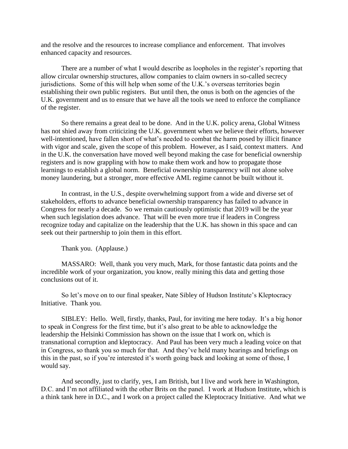and the resolve and the resources to increase compliance and enforcement. That involves enhanced capacity and resources.

There are a number of what I would describe as loopholes in the register's reporting that allow circular ownership structures, allow companies to claim owners in so-called secrecy jurisdictions. Some of this will help when some of the U.K.'s overseas territories begin establishing their own public registers. But until then, the onus is both on the agencies of the U.K. government and us to ensure that we have all the tools we need to enforce the compliance of the register.

So there remains a great deal to be done. And in the U.K. policy arena, Global Witness has not shied away from criticizing the U.K. government when we believe their efforts, however well-intentioned, have fallen short of what's needed to combat the harm posed by illicit finance with vigor and scale, given the scope of this problem. However, as I said, context matters. And in the U.K. the conversation have moved well beyond making the case for beneficial ownership registers and is now grappling with how to make them work and how to propagate those learnings to establish a global norm. Beneficial ownership transparency will not alone solve money laundering, but a stronger, more effective AML regime cannot be built without it.

In contrast, in the U.S., despite overwhelming support from a wide and diverse set of stakeholders, efforts to advance beneficial ownership transparency has failed to advance in Congress for nearly a decade. So we remain cautiously optimistic that 2019 will be the year when such legislation does advance. That will be even more true if leaders in Congress recognize today and capitalize on the leadership that the U.K. has shown in this space and can seek out their partnership to join them in this effort.

Thank you. (Applause.)

MASSARO: Well, thank you very much, Mark, for those fantastic data points and the incredible work of your organization, you know, really mining this data and getting those conclusions out of it.

So let's move on to our final speaker, Nate Sibley of Hudson Institute's Kleptocracy Initiative. Thank you.

SIBLEY: Hello. Well, firstly, thanks, Paul, for inviting me here today. It's a big honor to speak in Congress for the first time, but it's also great to be able to acknowledge the leadership the Helsinki Commission has shown on the issue that I work on, which is transnational corruption and kleptocracy. And Paul has been very much a leading voice on that in Congress, so thank you so much for that. And they've held many hearings and briefings on this in the past, so if you're interested it's worth going back and looking at some of those, I would say.

And secondly, just to clarify, yes, I am British, but I live and work here in Washington, D.C. and I'm not affiliated with the other Brits on the panel. I work at Hudson Institute, which is a think tank here in D.C., and I work on a project called the Kleptocracy Initiative. And what we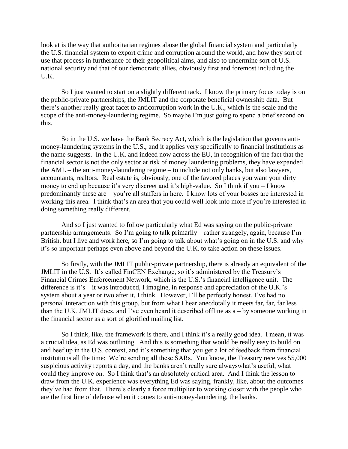look at is the way that authoritarian regimes abuse the global financial system and particularly the U.S. financial system to export crime and corruption around the world, and how they sort of use that process in furtherance of their geopolitical aims, and also to undermine sort of U.S. national security and that of our democratic allies, obviously first and foremost including the U.K.

So I just wanted to start on a slightly different tack. I know the primary focus today is on the public-private partnerships, the JMLIT and the corporate beneficial ownership data. But there's another really great facet to anticorruption work in the U.K., which is the scale and the scope of the anti-money-laundering regime. So maybe I'm just going to spend a brief second on this.

So in the U.S. we have the Bank Secrecy Act, which is the legislation that governs antimoney-laundering systems in the U.S., and it applies very specifically to financial institutions as the name suggests. In the U.K. and indeed now across the EU, in recognition of the fact that the financial sector is not the only sector at risk of money laundering problems, they have expanded the AML – the anti-money-laundering regime – to include not only banks, but also lawyers, accountants, realtors. Real estate is, obviously, one of the favored places you want your dirty money to end up because it's very discreet and it's high-value. So I think if you – I know predominantly these are – you're all staffers in here. I know lots of your bosses are interested in working this area. I think that's an area that you could well look into more if you're interested in doing something really different.

And so I just wanted to follow particularly what Ed was saying on the public-private partnership arrangements. So I'm going to talk primarily – rather strangely, again, because I'm British, but I live and work here, so I'm going to talk about what's going on in the U.S. and why it's so important perhaps even above and beyond the U.K. to take action on these issues.

So firstly, with the JMLIT public-private partnership, there is already an equivalent of the JMLIT in the U.S. It's called FinCEN Exchange, so it's administered by the Treasury's Financial Crimes Enforcement Network, which is the U.S.'s financial intelligence unit. The difference is it's – it was introduced, I imagine, in response and appreciation of the U.K.'s system about a year or two after it, I think. However, I'll be perfectly honest, I've had no personal interaction with this group, but from what I hear anecdotally it meets far, far, far less than the U.K. JMLIT does, and I've even heard it described offline as  $a - by$  someone working in the financial sector as a sort of glorified mailing list.

So I think, like, the framework is there, and I think it's a really good idea. I mean, it was a crucial idea, as Ed was outlining. And this is something that would be really easy to build on and beef up in the U.S. context, and it's something that you get a lot of feedback from financial institutions all the time: We're sending all these SARs. You know, the Treasury receives 55,000 suspicious activity reports a day, and the banks aren't really sure alwayswhat's useful, what could they improve on. So I think that's an absolutely critical area. And I think the lesson to draw from the U.K. experience was everything Ed was saying, frankly, like, about the outcomes they've had from that. There's clearly a force multiplier to working closer with the people who are the first line of defense when it comes to anti-money-laundering, the banks.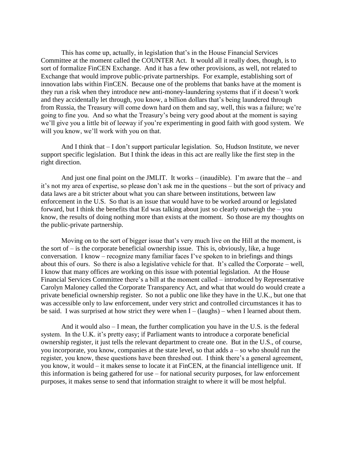This has come up, actually, in legislation that's in the House Financial Services Committee at the moment called the COUNTER Act. It would all it really does, though, is to sort of formalize FinCEN Exchange. And it has a few other provisions, as well, not related to Exchange that would improve public-private partnerships. For example, establishing sort of innovation labs within FinCEN. Because one of the problems that banks have at the moment is they run a risk when they introduce new anti-money-laundering systems that if it doesn't work and they accidentally let through, you know, a billion dollars that's being laundered through from Russia, the Treasury will come down hard on them and say, well, this was a failure; we're going to fine you. And so what the Treasury's being very good about at the moment is saying we'll give you a little bit of leeway if you're experimenting in good faith with good system. We will you know, we'll work with you on that.

And I think that – I don't support particular legislation. So, Hudson Institute, we never support specific legislation. But I think the ideas in this act are really like the first step in the right direction.

And just one final point on the JMLIT. It works – (inaudible). I'm aware that the – and it's not my area of expertise, so please don't ask me in the questions – but the sort of privacy and data laws are a bit stricter about what you can share between institutions, between law enforcement in the U.S. So that is an issue that would have to be worked around or legislated forward, but I think the benefits that Ed was talking about just so clearly outweigh the – you know, the results of doing nothing more than exists at the moment. So those are my thoughts on the public-private partnership.

Moving on to the sort of bigger issue that's very much live on the Hill at the moment, is the sort of  $-$  is the corporate beneficial ownership issue. This is, obviously, like, a huge conversation. I know – recognize many familiar faces I've spoken to in briefings and things about this of ours. So there is also a legislative vehicle for that. It's called the Corporate – well, I know that many offices are working on this issue with potential legislation. At the House Financial Services Committee there's a bill at the moment called – introduced by Representative Carolyn Maloney called the Corporate Transparency Act, and what that would do would create a private beneficial ownership register. So not a public one like they have in the U.K., but one that was accessible only to law enforcement, under very strict and controlled circumstances it has to be said. I was surprised at how strict they were when  $I - (laughs) -$  when I learned about them.

And it would also – I mean, the further complication you have in the U.S. is the federal system. In the U.K. it's pretty easy; if Parliament wants to introduce a corporate beneficial ownership register, it just tells the relevant department to create one. But in the U.S., of course, you incorporate, you know, companies at the state level, so that adds a – so who should run the register, you know, these questions have been threshed out. I think there's a general agreement, you know, it would – it makes sense to locate it at FinCEN, at the financial intelligence unit. If this information is being gathered for use – for national security purposes, for law enforcement purposes, it makes sense to send that information straight to where it will be most helpful.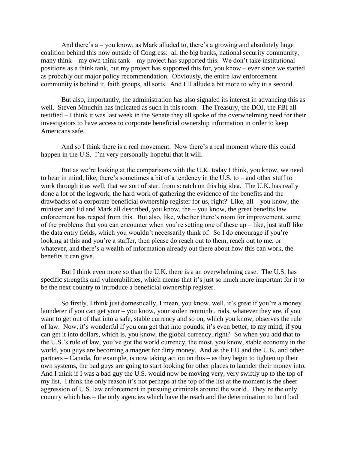And there's a – you know, as Mark alluded to, there's a growing and absolutely huge coalition behind this now outside of Congress: all the big banks, national security community, many think – my own think tank – my project has supported this. We don't take institutional positions as a think tank, but my project has supported this for, you know – ever since we started as probably our major policy recommendation. Obviously, the entire law enforcement community is behind it, faith groups, all sorts. And I'll allude a bit more to why in a second.

But also, importantly, the administration has also signaled its interest in advancing this as well. Steven Mnuchin has indicated as such in this room. The Treasury, the DOJ, the FBI all testified – I think it was last week in the Senate they all spoke of the overwhelming need for their investigators to have access to corporate beneficial ownership information in order to keep Americans safe.

And so I think there is a real movement. Now there's a real moment where this could happen in the U.S. I'm very personally hopeful that it will.

But as we're looking at the comparisons with the U.K. today I think, you know, we need to bear in mind, like, there's sometimes a bit of a tendency in the U.S. to – and other stuff to work through it as well, that we sort of start from scratch on this big idea. The U.K. has really done a lot of the legwork, the hard work of gathering the evidence of the benefits and the drawbacks of a corporate beneficial ownership register for us, right? Like, all – you know, the minister and Ed and Mark all described, you know, the – you know, the great benefits law enforcement has reaped from this. But also, like, whether there's room for improvement, some of the problems that you can encounter when you're setting one of these  $up$  – like, just stuff like the data entry fields, which you wouldn't necessarily think of. So I do encourage if you're looking at this and you're a staffer, then please do reach out to them, reach out to me, or whatever, and there's a wealth of information already out there about how this can work, the benefits it can give.

But I think even more so than the U.K. there is a an overwhelming case. The U.S. has specific strengths and vulnerabilities, which means that it's just so much more important for it to be the next country to introduce a beneficial ownership register.

So firstly, I think just domestically, I mean, you know, well, it's great if you're a money launderer if you can get your – you know, your stolen renminbi, rials, whatever they are, if you want to get out of that into a safe, stable currency and so on, which you know, observes the rule of law. Now, it's wonderful if you can get that into pounds; it's even better, to my mind, if you can get it into dollars, which is, you know, the global currency, right? So when you add that to the U.S.'s rule of law, you've got the world currency, the most, you know, stable economy in the world, you guys are becoming a magnet for dirty money. And as the EU and the U.K. and other partners – Canada, for example, is now taking action on this – as they begin to tighten up their own systems, the bad guys are going to start looking for other places to launder their money into. And I think if I was a bad guy the U.S. would now be moving very, very swiftly up to the top of my list. I think the only reason it's not perhaps at the top of the list at the moment is the sheer aggression of U.S. law enforcement in pursuing criminals around the world. They're the only country which has – the only agencies which have the reach and the determination to hunt bad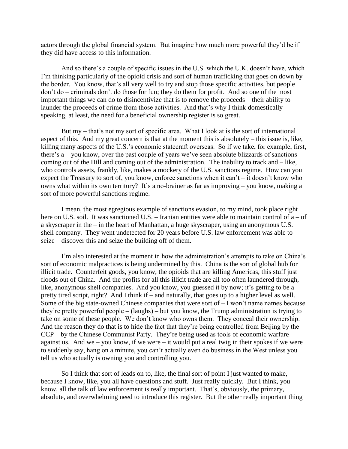actors through the global financial system. But imagine how much more powerful they'd be if they did have access to this information.

And so there's a couple of specific issues in the U.S. which the U.K. doesn't have, which I'm thinking particularly of the opioid crisis and sort of human trafficking that goes on down by the border. You know, that's all very well to try and stop those specific activities, but people don't do – criminals don't do those for fun; they do them for profit. And so one of the most important things we can do to disincentivize that is to remove the proceeds – their ability to launder the proceeds of crime from those activities. And that's why I think domestically speaking, at least, the need for a beneficial ownership register is so great.

But my – that's not my sort of specific area. What I look at is the sort of international aspect of this. And my great concern is that at the moment this is absolutely – this issue is, like, killing many aspects of the U.S.'s economic statecraft overseas. So if we take, for example, first, there's a – you know, over the past couple of years we've seen absolute blizzards of sanctions coming out of the Hill and coming out of the administration. The inability to track and – like, who controls assets, frankly, like, makes a mockery of the U.S. sanctions regime. How can you expect the Treasury to sort of, you know, enforce sanctions when it can't – it doesn't know who owns what within its own territory? It's a no-brainer as far as improving – you know, making a sort of more powerful sanctions regime.

I mean, the most egregious example of sanctions evasion, to my mind, took place right here on U.S. soil. It was sanctioned U.S. – Iranian entities were able to maintain control of  $a - of$ a skyscraper in the – in the heart of Manhattan, a huge skyscraper, using an anonymous U.S. shell company. They went undetected for 20 years before U.S. law enforcement was able to seize – discover this and seize the building off of them.

I'm also interested at the moment in how the administration's attempts to take on China's sort of economic malpractices is being undermined by this. China is the sort of global hub for illicit trade. Counterfeit goods, you know, the opioids that are killing Americas, this stuff just floods out of China. And the profits for all this illicit trade are all too often laundered through, like, anonymous shell companies. And you know, you guessed it by now; it's getting to be a pretty tired script, right? And I think if – and naturally, that goes up to a higher level as well. Some of the big state-owned Chinese companies that were sort of – I won't name names because they're pretty powerful people – (laughs) – but you know, the Trump administration is trying to take on some of these people. We don't know who owns them. They conceal their ownership. And the reason they do that is to hide the fact that they're being controlled from Beijing by the CCP – by the Chinese Communist Party. They're being used as tools of economic warfare against us. And we – you know, if we were – it would put a real twig in their spokes if we were to suddenly say, hang on a minute, you can't actually even do business in the West unless you tell us who actually is owning you and controlling you.

So I think that sort of leads on to, like, the final sort of point I just wanted to make, because I know, like, you all have questions and stuff. Just really quickly. But I think, you know, all the talk of law enforcement is really important. That's, obviously, the primary, absolute, and overwhelming need to introduce this register. But the other really important thing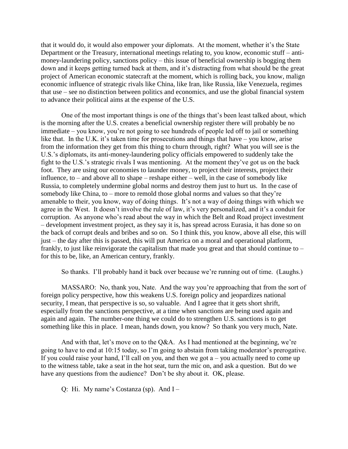that it would do, it would also empower your diplomats. At the moment, whether it's the State Department or the Treasury, international meetings relating to, you know, economic stuff – antimoney-laundering policy, sanctions policy – this issue of beneficial ownership is bogging them down and it keeps getting turned back at them, and it's distracting from what should be the great project of American economic statecraft at the moment, which is rolling back, you know, malign economic influence of strategic rivals like China, like Iran, like Russia, like Venezuela, regimes that use – see no distinction between politics and economics, and use the global financial system to advance their political aims at the expense of the U.S.

One of the most important things is one of the things that's been least talked about, which is the morning after the U.S. creates a beneficial ownership register there will probably be no immediate – you know, you're not going to see hundreds of people led off to jail or something like that. In the U.K. it's taken time for prosecutions and things that have – you know, arise from the information they get from this thing to churn through, right? What you will see is the U.S.'s diplomats, its anti-money-laundering policy officials empowered to suddenly take the fight to the U.S.'s strategic rivals I was mentioning. At the moment they've got us on the back foot. They are using our economies to launder money, to project their interests, project their influence, to – and above all to shape – reshape either – well, in the case of somebody like Russia, to completely undermine global norms and destroy them just to hurt us. In the case of somebody like China, to – more to remold those global norms and values so that they're amenable to their, you know, way of doing things. It's not a way of doing things with which we agree in the West. It doesn't involve the rule of law, it's very personalized, and it's a conduit for corruption. As anyone who's read about the way in which the Belt and Road project investment – development investment project, as they say it is, has spread across Eurasia, it has done so on the back of corrupt deals and bribes and so on. So I think this, you know, above all else, this will just – the day after this is passed, this will put America on a moral and operational platform, frankly, to just like reinvigorate the capitalism that made you great and that should continue to – for this to be, like, an American century, frankly.

So thanks. I'll probably hand it back over because we're running out of time. (Laughs.)

MASSARO: No, thank you, Nate. And the way you're approaching that from the sort of foreign policy perspective, how this weakens U.S. foreign policy and jeopardizes national security, I mean, that perspective is so, so valuable. And I agree that it gets short shrift, especially from the sanctions perspective, at a time when sanctions are being used again and again and again. The number-one thing we could do to strengthen U.S. sanctions is to get something like this in place. I mean, hands down, you know? So thank you very much, Nate.

And with that, let's move on to the Q&A. As I had mentioned at the beginning, we're going to have to end at 10:15 today, so I'm going to abstain from taking moderator's prerogative. If you could raise your hand, I'll call on you, and then we got  $a - y$ ou actually need to come up to the witness table, take a seat in the hot seat, turn the mic on, and ask a question. But do we have any questions from the audience? Don't be shy about it. OK, please.

Q: Hi. My name's Costanza (sp). And I –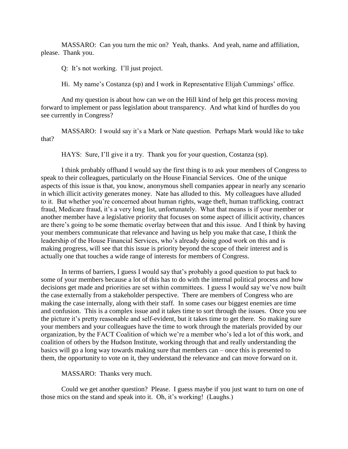MASSARO: Can you turn the mic on? Yeah, thanks. And yeah, name and affiliation, please. Thank you.

Q: It's not working. I'll just project.

Hi. My name's Costanza (sp) and I work in Representative Elijah Cummings' office.

And my question is about how can we on the Hill kind of help get this process moving forward to implement or pass legislation about transparency. And what kind of hurdles do you see currently in Congress?

MASSARO: I would say it's a Mark or Nate question. Perhaps Mark would like to take that?

HAYS: Sure, I'll give it a try. Thank you for your question, Costanza (sp).

I think probably offhand I would say the first thing is to ask your members of Congress to speak to their colleagues, particularly on the House Financial Services. One of the unique aspects of this issue is that, you know, anonymous shell companies appear in nearly any scenario in which illicit activity generates money. Nate has alluded to this. My colleagues have alluded to it. But whether you're concerned about human rights, wage theft, human trafficking, contract fraud, Medicare fraud, it's a very long list, unfortunately. What that means is if your member or another member have a legislative priority that focuses on some aspect of illicit activity, chances are there's going to be some thematic overlay between that and this issue. And I think by having your members communicate that relevance and having us help you make that case, I think the leadership of the House Financial Services, who's already doing good work on this and is making progress, will see that this issue is priority beyond the scope of their interest and is actually one that touches a wide range of interests for members of Congress.

In terms of barriers, I guess I would say that's probably a good question to put back to some of your members because a lot of this has to do with the internal political process and how decisions get made and priorities are set within committees. I guess I would say we've now built the case externally from a stakeholder perspective. There are members of Congress who are making the case internally, along with their staff. In some cases our biggest enemies are time and confusion. This is a complex issue and it takes time to sort through the issues. Once you see the picture it's pretty reasonable and self-evident, but it takes time to get there. So making sure your members and your colleagues have the time to work through the materials provided by our organization, by the FACT Coalition of which we're a member who's led a lot of this work, and coalition of others by the Hudson Institute, working through that and really understanding the basics will go a long way towards making sure that members can – once this is presented to them, the opportunity to vote on it, they understand the relevance and can move forward on it.

MASSARO: Thanks very much.

Could we get another question? Please. I guess maybe if you just want to turn on one of those mics on the stand and speak into it. Oh, it's working! (Laughs.)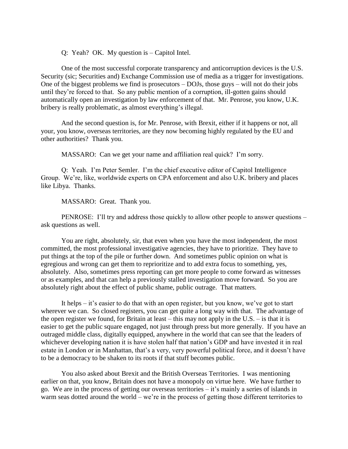Q: Yeah? OK. My question is – Capitol Intel.

One of the most successful corporate transparency and anticorruption devices is the U.S. Security (sic; Securities and) Exchange Commission use of media as a trigger for investigations. One of the biggest problems we find is prosecutors – DOJs, those guys – will not do their jobs until they're forced to that. So any public mention of a corruption, ill-gotten gains should automatically open an investigation by law enforcement of that. Mr. Penrose, you know, U.K. bribery is really problematic, as almost everything's illegal.

And the second question is, for Mr. Penrose, with Brexit, either if it happens or not, all your, you know, overseas territories, are they now becoming highly regulated by the EU and other authorities? Thank you.

MASSARO: Can we get your name and affiliation real quick? I'm sorry.

Q: Yeah. I'm Peter Semler. I'm the chief executive editor of Capitol Intelligence Group. We're, like, worldwide experts on CPA enforcement and also U.K. bribery and places like Libya. Thanks.

MASSARO: Great. Thank you.

PENROSE: I'll try and address those quickly to allow other people to answer questions – ask questions as well.

You are right, absolutely, sir, that even when you have the most independent, the most committed, the most professional investigative agencies, they have to prioritize. They have to put things at the top of the pile or further down. And sometimes public opinion on what is egregious and wrong can get them to reprioritize and to add extra focus to something, yes, absolutely. Also, sometimes press reporting can get more people to come forward as witnesses or as examples, and that can help a previously stalled investigation move forward. So you are absolutely right about the effect of public shame, public outrage. That matters.

It helps – it's easier to do that with an open register, but you know, we've got to start wherever we can. So closed registers, you can get quite a long way with that. The advantage of the open register we found, for Britain at least – this may not apply in the U.S. – is that it is easier to get the public square engaged, not just through press but more generally. If you have an outraged middle class, digitally equipped, anywhere in the world that can see that the leaders of whichever developing nation it is have stolen half that nation's GDP and have invested it in real estate in London or in Manhattan, that's a very, very powerful political force, and it doesn't have to be a democracy to be shaken to its roots if that stuff becomes public.

You also asked about Brexit and the British Overseas Territories. I was mentioning earlier on that, you know, Britain does not have a monopoly on virtue here. We have further to go. We are in the process of getting our overseas territories – it's mainly a series of islands in warm seas dotted around the world – we're in the process of getting those different territories to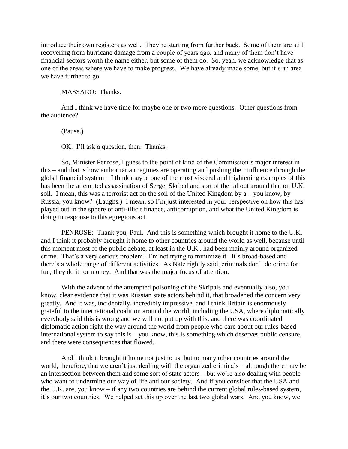introduce their own registers as well. They're starting from further back. Some of them are still recovering from hurricane damage from a couple of years ago, and many of them don't have financial sectors worth the name either, but some of them do. So, yeah, we acknowledge that as one of the areas where we have to make progress. We have already made some, but it's an area we have further to go.

## MASSARO: Thanks.

And I think we have time for maybe one or two more questions. Other questions from the audience?

(Pause.)

OK. I'll ask a question, then. Thanks.

So, Minister Penrose, I guess to the point of kind of the Commission's major interest in this – and that is how authoritarian regimes are operating and pushing their influence through the global financial system – I think maybe one of the most visceral and frightening examples of this has been the attempted assassination of Sergei Skripal and sort of the fallout around that on U.K. soil. I mean, this was a terrorist act on the soil of the United Kingdom by  $a - you$  know, by Russia, you know? (Laughs.) I mean, so I'm just interested in your perspective on how this has played out in the sphere of anti-illicit finance, anticorruption, and what the United Kingdom is doing in response to this egregious act.

PENROSE: Thank you, Paul. And this is something which brought it home to the U.K. and I think it probably brought it home to other countries around the world as well, because until this moment most of the public debate, at least in the U.K., had been mainly around organized crime. That's a very serious problem. I'm not trying to minimize it. It's broad-based and there's a whole range of different activities. As Nate rightly said, criminals don't do crime for fun; they do it for money. And that was the major focus of attention.

With the advent of the attempted poisoning of the Skripals and eventually also, you know, clear evidence that it was Russian state actors behind it, that broadened the concern very greatly. And it was, incidentally, incredibly impressive, and I think Britain is enormously grateful to the international coalition around the world, including the USA, where diplomatically everybody said this is wrong and we will not put up with this, and there was coordinated diplomatic action right the way around the world from people who care about our rules-based international system to say this is – you know, this is something which deserves public censure, and there were consequences that flowed.

And I think it brought it home not just to us, but to many other countries around the world, therefore, that we aren't just dealing with the organized criminals – although there may be an intersection between them and some sort of state actors – but we're also dealing with people who want to undermine our way of life and our society. And if you consider that the USA and the U.K. are, you know – if any two countries are behind the current global rules-based system, it's our two countries. We helped set this up over the last two global wars. And you know, we